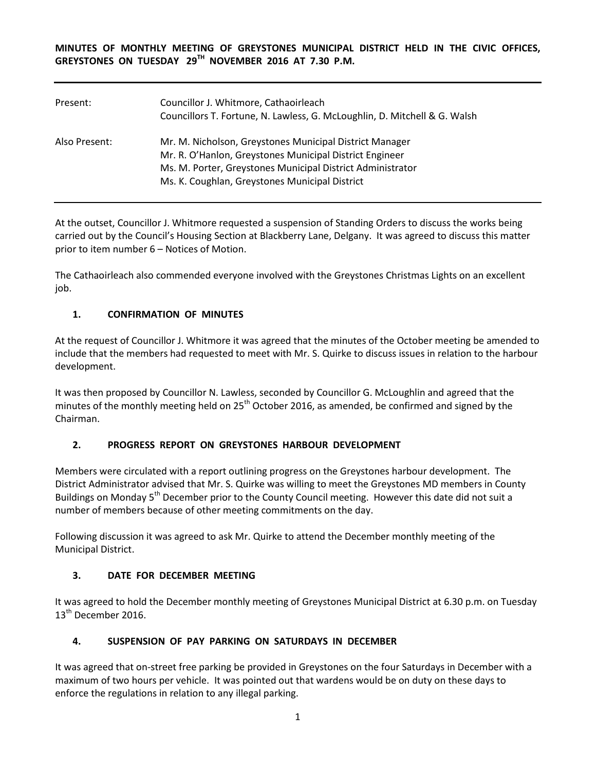**MINUTES OF MONTHLY MEETING OF GREYSTONES MUNICIPAL DISTRICT HELD IN THE CIVIC OFFICES, GREYSTONES ON TUESDAY 29TH NOVEMBER 2016 AT 7.30 P.M.** 

| Present:      | Councillor J. Whitmore, Cathaoirleach<br>Councillors T. Fortune, N. Lawless, G. McLoughlin, D. Mitchell & G. Walsh                                                                                                                 |
|---------------|------------------------------------------------------------------------------------------------------------------------------------------------------------------------------------------------------------------------------------|
| Also Present: | Mr. M. Nicholson, Greystones Municipal District Manager<br>Mr. R. O'Hanlon, Greystones Municipal District Engineer<br>Ms. M. Porter, Greystones Municipal District Administrator<br>Ms. K. Coughlan, Greystones Municipal District |

At the outset, Councillor J. Whitmore requested a suspension of Standing Orders to discuss the works being carried out by the Council's Housing Section at Blackberry Lane, Delgany. It was agreed to discuss this matter prior to item number 6 – Notices of Motion.

The Cathaoirleach also commended everyone involved with the Greystones Christmas Lights on an excellent job.

# **1. CONFIRMATION OF MINUTES**

At the request of Councillor J. Whitmore it was agreed that the minutes of the October meeting be amended to include that the members had requested to meet with Mr. S. Quirke to discuss issues in relation to the harbour development.

It was then proposed by Councillor N. Lawless, seconded by Councillor G. McLoughlin and agreed that the minutes of the monthly meeting held on 25<sup>th</sup> October 2016, as amended, be confirmed and signed by the Chairman.

## **2. PROGRESS REPORT ON GREYSTONES HARBOUR DEVELOPMENT**

Members were circulated with a report outlining progress on the Greystones harbour development. The District Administrator advised that Mr. S. Quirke was willing to meet the Greystones MD members in County Buildings on Monday 5<sup>th</sup> December prior to the County Council meeting. However this date did not suit a number of members because of other meeting commitments on the day.

Following discussion it was agreed to ask Mr. Quirke to attend the December monthly meeting of the Municipal District.

## **3. DATE FOR DECEMBER MEETING**

It was agreed to hold the December monthly meeting of Greystones Municipal District at 6.30 p.m. on Tuesday 13<sup>th</sup> December 2016.

# **4. SUSPENSION OF PAY PARKING ON SATURDAYS IN DECEMBER**

It was agreed that on-street free parking be provided in Greystones on the four Saturdays in December with a maximum of two hours per vehicle. It was pointed out that wardens would be on duty on these days to enforce the regulations in relation to any illegal parking.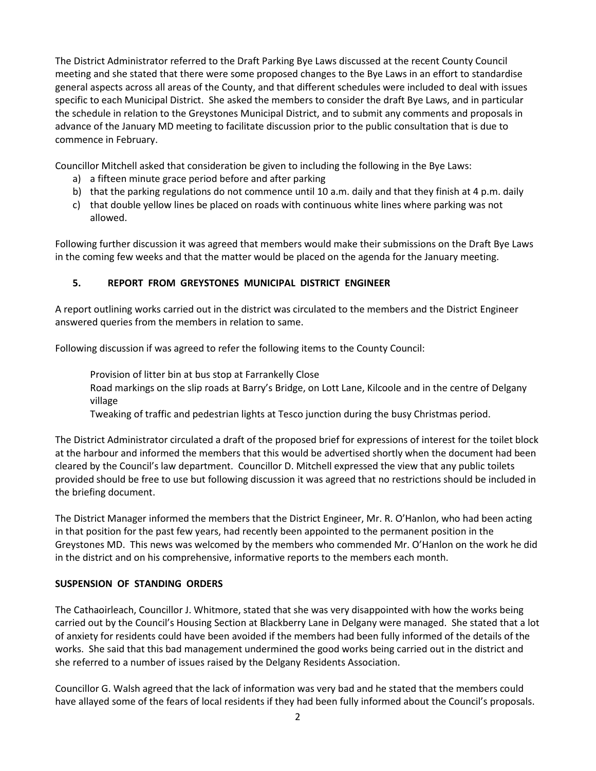The District Administrator referred to the Draft Parking Bye Laws discussed at the recent County Council meeting and she stated that there were some proposed changes to the Bye Laws in an effort to standardise general aspects across all areas of the County, and that different schedules were included to deal with issues specific to each Municipal District. She asked the members to consider the draft Bye Laws, and in particular the schedule in relation to the Greystones Municipal District, and to submit any comments and proposals in advance of the January MD meeting to facilitate discussion prior to the public consultation that is due to commence in February.

Councillor Mitchell asked that consideration be given to including the following in the Bye Laws:

- a) a fifteen minute grace period before and after parking
- b) that the parking regulations do not commence until 10 a.m. daily and that they finish at 4 p.m. daily
- c) that double yellow lines be placed on roads with continuous white lines where parking was not allowed.

Following further discussion it was agreed that members would make their submissions on the Draft Bye Laws in the coming few weeks and that the matter would be placed on the agenda for the January meeting.

## **5. REPORT FROM GREYSTONES MUNICIPAL DISTRICT ENGINEER**

A report outlining works carried out in the district was circulated to the members and the District Engineer answered queries from the members in relation to same.

Following discussion if was agreed to refer the following items to the County Council:

Provision of litter bin at bus stop at Farrankelly Close

Road markings on the slip roads at Barry's Bridge, on Lott Lane, Kilcoole and in the centre of Delgany village

Tweaking of traffic and pedestrian lights at Tesco junction during the busy Christmas period.

The District Administrator circulated a draft of the proposed brief for expressions of interest for the toilet block at the harbour and informed the members that this would be advertised shortly when the document had been cleared by the Council's law department. Councillor D. Mitchell expressed the view that any public toilets provided should be free to use but following discussion it was agreed that no restrictions should be included in the briefing document.

The District Manager informed the members that the District Engineer, Mr. R. O'Hanlon, who had been acting in that position for the past few years, had recently been appointed to the permanent position in the Greystones MD. This news was welcomed by the members who commended Mr. O'Hanlon on the work he did in the district and on his comprehensive, informative reports to the members each month.

## **SUSPENSION OF STANDING ORDERS**

The Cathaoirleach, Councillor J. Whitmore, stated that she was very disappointed with how the works being carried out by the Council's Housing Section at Blackberry Lane in Delgany were managed. She stated that a lot of anxiety for residents could have been avoided if the members had been fully informed of the details of the works. She said that this bad management undermined the good works being carried out in the district and she referred to a number of issues raised by the Delgany Residents Association.

Councillor G. Walsh agreed that the lack of information was very bad and he stated that the members could have allayed some of the fears of local residents if they had been fully informed about the Council's proposals.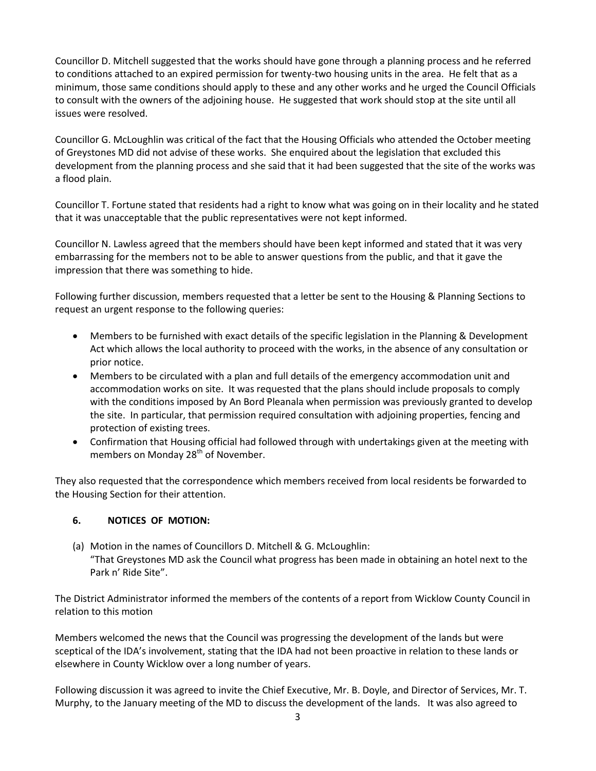Councillor D. Mitchell suggested that the works should have gone through a planning process and he referred to conditions attached to an expired permission for twenty-two housing units in the area. He felt that as a minimum, those same conditions should apply to these and any other works and he urged the Council Officials to consult with the owners of the adjoining house. He suggested that work should stop at the site until all issues were resolved.

Councillor G. McLoughlin was critical of the fact that the Housing Officials who attended the October meeting of Greystones MD did not advise of these works. She enquired about the legislation that excluded this development from the planning process and she said that it had been suggested that the site of the works was a flood plain.

Councillor T. Fortune stated that residents had a right to know what was going on in their locality and he stated that it was unacceptable that the public representatives were not kept informed.

Councillor N. Lawless agreed that the members should have been kept informed and stated that it was very embarrassing for the members not to be able to answer questions from the public, and that it gave the impression that there was something to hide.

Following further discussion, members requested that a letter be sent to the Housing & Planning Sections to request an urgent response to the following queries:

- Members to be furnished with exact details of the specific legislation in the Planning & Development Act which allows the local authority to proceed with the works, in the absence of any consultation or prior notice.
- Members to be circulated with a plan and full details of the emergency accommodation unit and accommodation works on site. It was requested that the plans should include proposals to comply with the conditions imposed by An Bord Pleanala when permission was previously granted to develop the site. In particular, that permission required consultation with adjoining properties, fencing and protection of existing trees.
- Confirmation that Housing official had followed through with undertakings given at the meeting with members on Monday 28<sup>th</sup> of November.

They also requested that the correspondence which members received from local residents be forwarded to the Housing Section for their attention.

## **6. NOTICES OF MOTION:**

(a) Motion in the names of Councillors D. Mitchell & G. McLoughlin: "That Greystones MD ask the Council what progress has been made in obtaining an hotel next to the Park n' Ride Site".

The District Administrator informed the members of the contents of a report from Wicklow County Council in relation to this motion

Members welcomed the news that the Council was progressing the development of the lands but were sceptical of the IDA's involvement, stating that the IDA had not been proactive in relation to these lands or elsewhere in County Wicklow over a long number of years.

Following discussion it was agreed to invite the Chief Executive, Mr. B. Doyle, and Director of Services, Mr. T. Murphy, to the January meeting of the MD to discuss the development of the lands. It was also agreed to